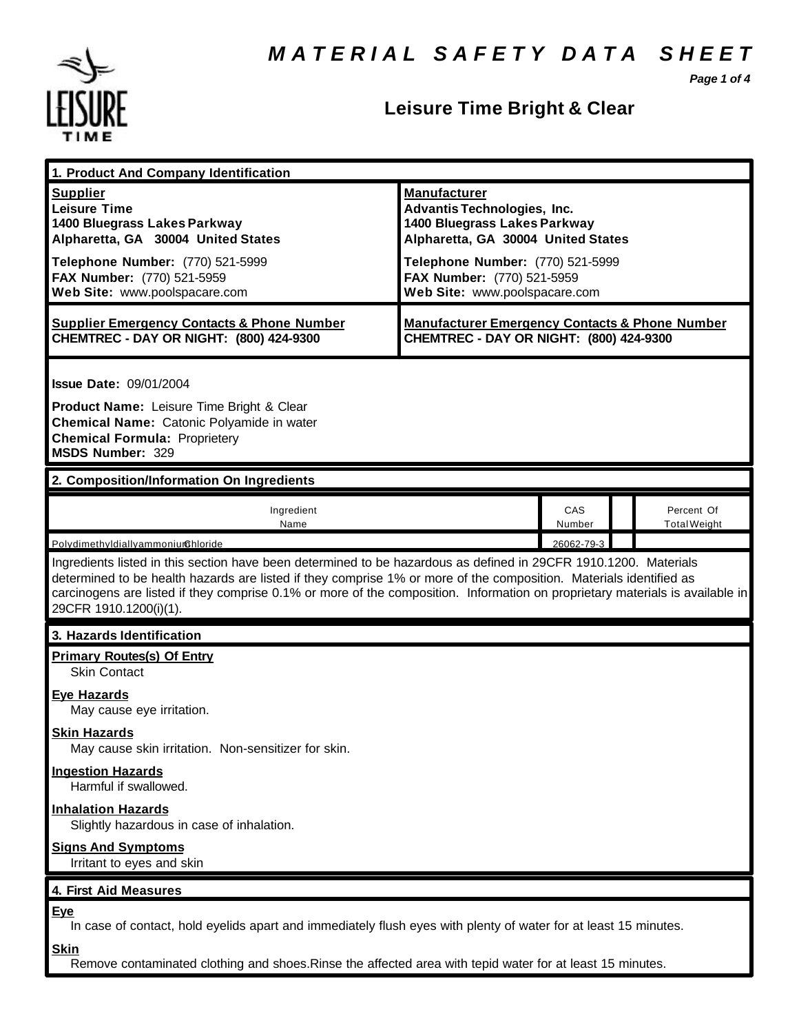*Page 1 of 4*



## **Leisure Time Bright & Clear**

| 1. Product And Company Identification                                                                                                                                                                                                                                                                                                                                                             |                                                                                                                                                                                                                                    |               |  |                                   |  |
|---------------------------------------------------------------------------------------------------------------------------------------------------------------------------------------------------------------------------------------------------------------------------------------------------------------------------------------------------------------------------------------------------|------------------------------------------------------------------------------------------------------------------------------------------------------------------------------------------------------------------------------------|---------------|--|-----------------------------------|--|
| <b>Supplier</b><br><b>Leisure Time</b><br>1400 Bluegrass Lakes Parkway<br>Alpharetta, GA 30004 United States<br>Telephone Number: (770) 521-5999<br>FAX Number: (770) 521-5959<br>Web Site: www.poolspacare.com                                                                                                                                                                                   | <b>Manufacturer</b><br><b>Advantis Technologies, Inc.</b><br>1400 Bluegrass Lakes Parkway<br>Alpharetta, GA 30004 United States<br>Telephone Number: (770) 521-5999<br>FAX Number: (770) 521-5959<br>Web Site: www.poolspacare.com |               |  |                                   |  |
| <b>Supplier Emergency Contacts &amp; Phone Number</b><br>CHEMTREC - DAY OR NIGHT: (800) 424-9300                                                                                                                                                                                                                                                                                                  | <b>Manufacturer Emergency Contacts &amp; Phone Number</b><br>CHEMTREC - DAY OR NIGHT: (800) 424-9300                                                                                                                               |               |  |                                   |  |
| <b>Issue Date: 09/01/2004</b><br>Product Name: Leisure Time Bright & Clear<br>Chemical Name: Catonic Polyamide in water<br><b>Chemical Formula: Proprietery</b><br><b>MSDS Number: 329</b>                                                                                                                                                                                                        |                                                                                                                                                                                                                                    |               |  |                                   |  |
| 2. Composition/Information On Ingredients                                                                                                                                                                                                                                                                                                                                                         |                                                                                                                                                                                                                                    |               |  |                                   |  |
| Ingredient<br>Name                                                                                                                                                                                                                                                                                                                                                                                |                                                                                                                                                                                                                                    | CAS<br>Number |  | Percent Of<br><b>Total Weight</b> |  |
| Polydimethyldiallyammoniumchloride                                                                                                                                                                                                                                                                                                                                                                |                                                                                                                                                                                                                                    | 26062-79-3    |  |                                   |  |
| Ingredients listed in this section have been determined to be hazardous as defined in 29CFR 1910.1200. Materials<br>determined to be health hazards are listed if they comprise 1% or more of the composition. Materials identified as<br>carcinogens are listed if they comprise 0.1% or more of the composition. Information on proprietary materials is available in<br>29CFR 1910.1200(i)(1). |                                                                                                                                                                                                                                    |               |  |                                   |  |
| 3. Hazards Identification                                                                                                                                                                                                                                                                                                                                                                         |                                                                                                                                                                                                                                    |               |  |                                   |  |
| <b>Primary Routes(s) Of Entry</b><br><b>Skin Contact</b>                                                                                                                                                                                                                                                                                                                                          |                                                                                                                                                                                                                                    |               |  |                                   |  |
| Eye Hazards<br>May cause eye irritation.                                                                                                                                                                                                                                                                                                                                                          |                                                                                                                                                                                                                                    |               |  |                                   |  |
| <b>Skin Hazards</b><br>May cause skin irritation. Non-sensitizer for skin.                                                                                                                                                                                                                                                                                                                        |                                                                                                                                                                                                                                    |               |  |                                   |  |
| <b>Ingestion Hazards</b><br>Harmful if swallowed.                                                                                                                                                                                                                                                                                                                                                 |                                                                                                                                                                                                                                    |               |  |                                   |  |
| <b>Inhalation Hazards</b><br>Slightly hazardous in case of inhalation.                                                                                                                                                                                                                                                                                                                            |                                                                                                                                                                                                                                    |               |  |                                   |  |
| <b>Signs And Symptoms</b><br>Irritant to eyes and skin                                                                                                                                                                                                                                                                                                                                            |                                                                                                                                                                                                                                    |               |  |                                   |  |
| 4. First Aid Measures                                                                                                                                                                                                                                                                                                                                                                             |                                                                                                                                                                                                                                    |               |  |                                   |  |
| <b>Eye</b><br>In case of contact, hold eyelids apart and immediately flush eyes with plenty of water for at least 15 minutes.<br><b>Skin</b>                                                                                                                                                                                                                                                      |                                                                                                                                                                                                                                    |               |  |                                   |  |
| Remove contaminated clothing and shoes. Rinse the affected area with tepid water for at least 15 minutes.                                                                                                                                                                                                                                                                                         |                                                                                                                                                                                                                                    |               |  |                                   |  |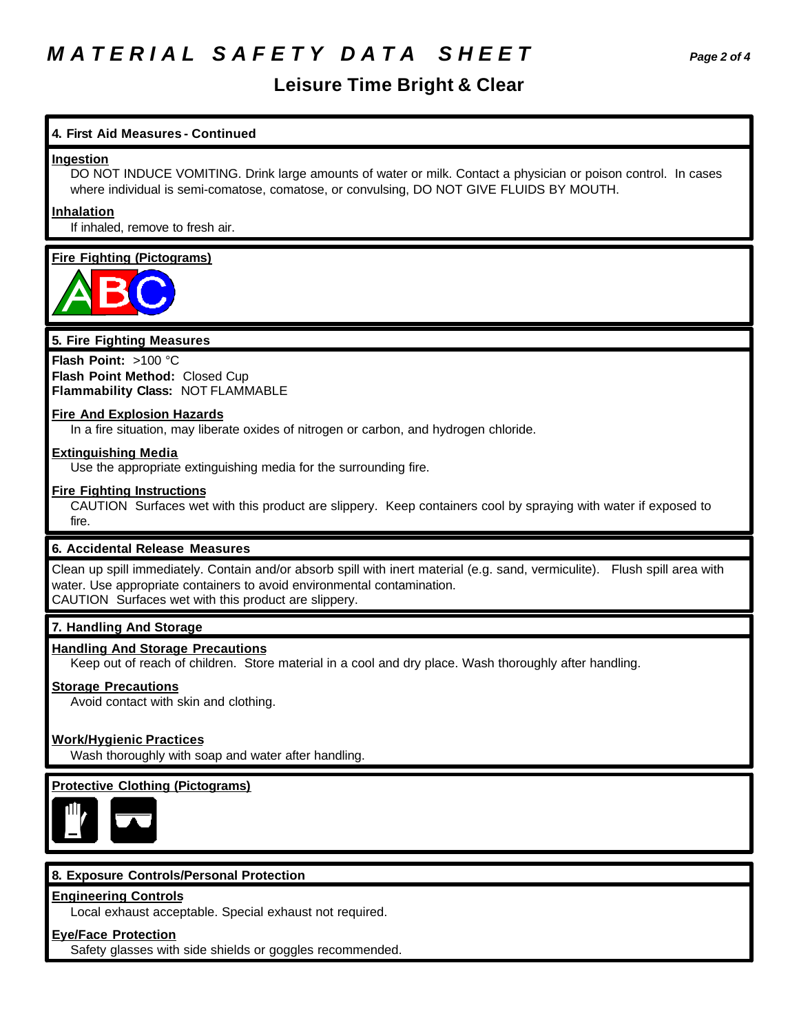### *M A T E R I A L S A F E T Y D A T A S H E E T Page 2 of 4*

### **Leisure Time Bright & Clear**

#### **4. First Aid Measures - Continued**

#### **Ingestion**

DO NOT INDUCE VOMITING. Drink large amounts of water or milk. Contact a physician or poison control. In cases where individual is semi-comatose, comatose, or convulsing, DO NOT GIVE FLUIDS BY MOUTH.

#### **Inhalation**

If inhaled, remove to fresh air.

#### **Fire Fighting (Pictograms)**



#### **5. Fire Fighting Measures**

**Flash Point:** >100 °C **Flash Point Method:** Closed Cup **Flammability Class:** NOT FLAMMABLE

#### **Fire And Explosion Hazards**

In a fire situation, may liberate oxides of nitrogen or carbon, and hydrogen chloride.

#### **Extinguishing Media**

Use the appropriate extinguishing media for the surrounding fire.

#### **Fire Fighting Instructions**

CAUTION Surfaces wet with this product are slippery. Keep containers cool by spraying with water if exposed to fire.

#### **6. Accidental Release Measures**

Clean up spill immediately. Contain and/or absorb spill with inert material (e.g. sand, vermiculite). Flush spill area with water. Use appropriate containers to avoid environmental contamination. CAUTION Surfaces wet with this product are slippery.

#### **7. Handling And Storage**

#### **Handling And Storage Precautions**

Keep out of reach of children. Store material in a cool and dry place. Wash thoroughly after handling.

#### **Storage Precautions**

Avoid contact with skin and clothing.

#### **Work/Hygienic Practices**

Wash thoroughly with soap and water after handling.

#### **Protective Clothing (Pictograms)**



#### **8. Exposure Controls/Personal Protection**

#### **Engineering Controls**

Local exhaust acceptable. Special exhaust not required.

#### **Eye/Face Protection**

Safety glasses with side shields or goggles recommended.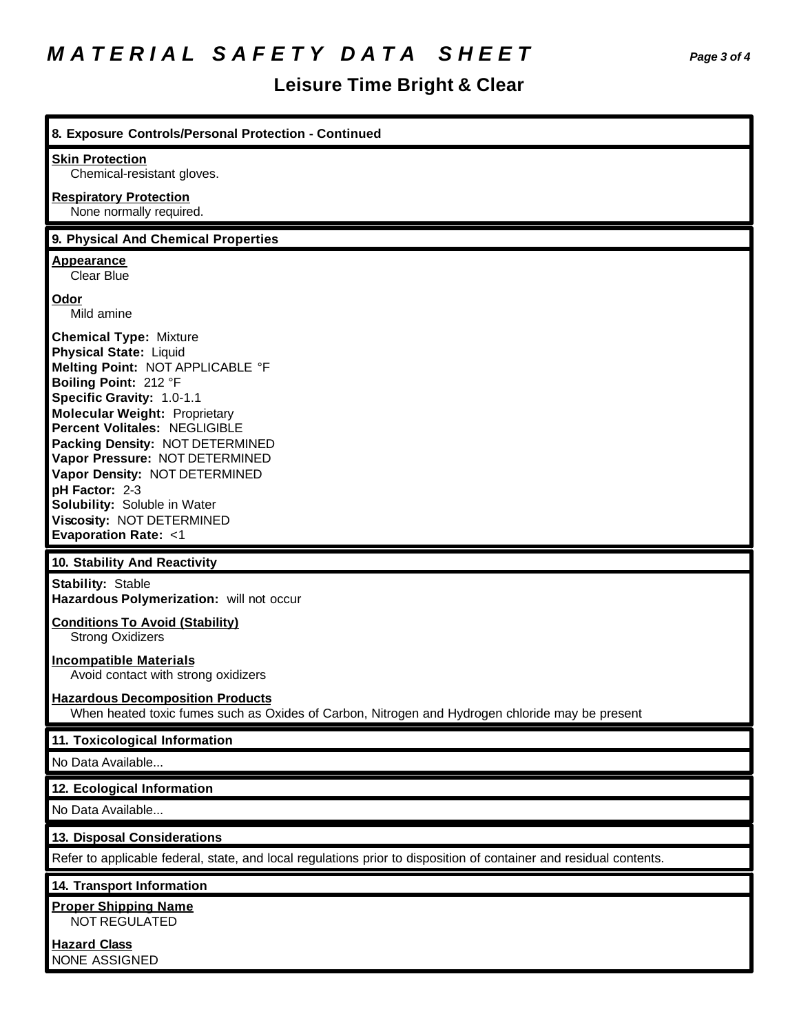# *M A T E R I A L S A F E T Y D A T A S H E E T Page 3 of 4*

## **Leisure Time Bright & Clear**

| 8. Exposure Controls/Personal Protection - Continued                                                                                                                                                                                                                                                                                                                                                                                                     |
|----------------------------------------------------------------------------------------------------------------------------------------------------------------------------------------------------------------------------------------------------------------------------------------------------------------------------------------------------------------------------------------------------------------------------------------------------------|
| <b>Skin Protection</b><br>Chemical-resistant gloves.                                                                                                                                                                                                                                                                                                                                                                                                     |
| <b>Respiratory Protection</b>                                                                                                                                                                                                                                                                                                                                                                                                                            |
| None normally required.                                                                                                                                                                                                                                                                                                                                                                                                                                  |
| 9. Physical And Chemical Properties                                                                                                                                                                                                                                                                                                                                                                                                                      |
| Appearance<br>Clear Blue                                                                                                                                                                                                                                                                                                                                                                                                                                 |
| Odor<br>Mild amine                                                                                                                                                                                                                                                                                                                                                                                                                                       |
| <b>Chemical Type: Mixture</b><br><b>Physical State: Liquid</b><br>Melting Point: NOT APPLICABLE °F<br>Boiling Point: 212 °F<br>Specific Gravity: 1.0-1.1<br><b>Molecular Weight: Proprietary</b><br>Percent Volitales: NEGLIGIBLE<br>Packing Density: NOT DETERMINED<br>Vapor Pressure: NOT DETERMINED<br>Vapor Density: NOT DETERMINED<br>pH Factor: 2-3<br>Solubility: Soluble in Water<br>Viscosity: NOT DETERMINED<br><b>Evaporation Rate: &lt;1</b> |
| 10. Stability And Reactivity                                                                                                                                                                                                                                                                                                                                                                                                                             |
| <b>Stability: Stable</b><br>Hazardous Polymerization: will not occur                                                                                                                                                                                                                                                                                                                                                                                     |
| <b>Conditions To Avoid (Stability)</b><br><b>Strong Oxidizers</b>                                                                                                                                                                                                                                                                                                                                                                                        |
| <b>Incompatible Materials</b><br>Avoid contact with strong oxidizers                                                                                                                                                                                                                                                                                                                                                                                     |
| <b>Hazardous Decomposition Products</b><br>When heated toxic fumes such as Oxides of Carbon, Nitrogen and Hydrogen chloride may be present                                                                                                                                                                                                                                                                                                               |
| 11. Toxicological Information                                                                                                                                                                                                                                                                                                                                                                                                                            |
| No Data Available                                                                                                                                                                                                                                                                                                                                                                                                                                        |
| 12. Ecological Information                                                                                                                                                                                                                                                                                                                                                                                                                               |
| No Data Available                                                                                                                                                                                                                                                                                                                                                                                                                                        |
| 13. Disposal Considerations                                                                                                                                                                                                                                                                                                                                                                                                                              |
| Refer to applicable federal, state, and local regulations prior to disposition of container and residual contents.                                                                                                                                                                                                                                                                                                                                       |
| 14. Transport Information                                                                                                                                                                                                                                                                                                                                                                                                                                |
| <b>Proper Shipping Name</b>                                                                                                                                                                                                                                                                                                                                                                                                                              |
| NOT REGULATED                                                                                                                                                                                                                                                                                                                                                                                                                                            |